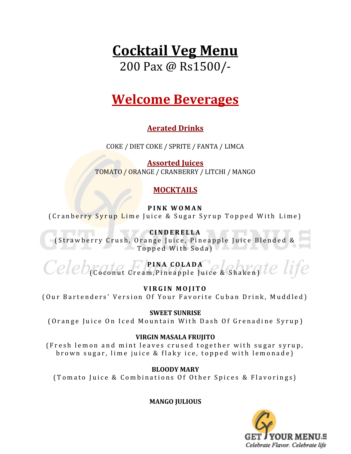# **Cocktail Veg Menu**

200 Pax @ Rs1500/-

# **Welcome Beverages**

#### **Aerated Drinks**

COKE / DIET COKE / SPRITE / FANTA / LIMCA

**Assorted Juices**  TOMATO / ORANGE / CRANBERRY / LITCHI / MANGO

#### **MOCKTAILS**

**P I N K W O M A N**

( Cranberry Syrup Lime Juice & Sugar Syrup Topped With Lime)

**C I N D E R E L L A** (Strawberry Crush, Orange Juice, Pineapple Juice Blended & Topped With Soda)

**P I N A C O L A D A** ( Coconut Cream, Pineapple Juice & Shaken)

**V I R G I N M O J I T O** ( Our Bartenders' Version Of Your Favorite Cuban Drink, Muddled )

#### **SWEET SUNRISE**

(Orange Juice On Iced Mountain With Dash Of Grenadine Syrup)

#### **VIRGIN MASALA FRUJITO**

(Fresh lemon and mint leaves crused together with sugar syrup, brown sugar, lime juice & flaky ice, topped with lemonade)

**BLOODY MARY**

(Tomato Juice & Combinations Of Other Spices & Flavorings)

**MANGO JULIOUS**

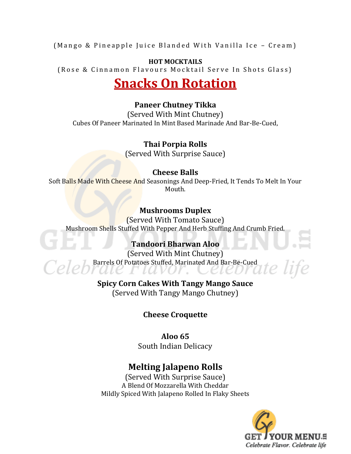(Mango & Pineapple Juice Blanded With Vanilla Ice – Cream)

#### **HOT MOCKTAILS**

(Rose & Cinnamon Flavours Mocktail Serve In Shots Glass)

# **Snacks On Rotation**

#### **Paneer Chutney Tikka**

(Served With Mint Chutney) Cubes Of Paneer Marinated In Mint Based Marinade And Bar-Be-Cued,

#### **Thai Porpia Rolls**

(Served With Surprise Sauce)

#### **Cheese Balls**

Soft Balls Made With Cheese And Seasonings And Deep-Fried, It Tends To Melt In Your Mouth.

#### **Mushrooms Duplex**

(Served With Tomato Sauce) Mushroom Shells Stuffed With Pepper And Herb Stuffing And Crumb Fried.

#### **Tandoori Bharwan Aloo**

(Served With Mint Chutney) Barrels Of Potatoes Stuffed, Marinated And Bar-Be-Cued ale Fiavor. Cell

#### **Spicy Corn Cakes With Tangy Mango Sauce** (Served With Tangy Mango Chutney)

#### **Cheese Croquette**

#### **Aloo 65** South Indian Delicacy

## **Melting Jalapeno Rolls**

(Served With Surprise Sauce) A Blend Of Mozzarella With Cheddar Mildly Spiced With Jalapeno Rolled In Flaky Sheets



e life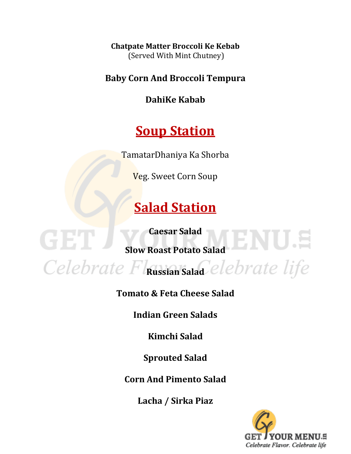**Chatpate Matter Broccoli Ke Kebab** (Served With Mint Chutney)

**Baby Corn And Broccoli Tempura**

**DahiKe Kabab**

# **Soup Station**

TamatarDhaniya Ka Shorba

Veg. Sweet Corn Soup

# **Salad Station**

**Caesar Salad**

GET.

**Slow Roast Potato Salad**

Celebrate Flassian Salad<sup>elebrate</sup> life

**Tomato & Feta Cheese Salad**

**Indian Green Salads**

**Kimchi Salad**

**Sprouted Salad**

**Corn And Pimento Salad**

**Lacha / Sirka Piaz**

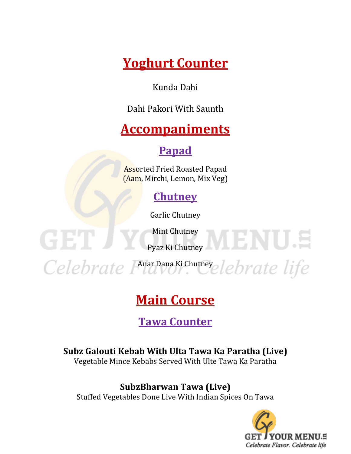**Yoghurt Counter**

Kunda Dahi

Dahi Pakori With Saunth

# **Accompaniments**

## **Papad**

Assorted Fried Roasted Papad (Aam, Mirchi, Lemon, Mix Veg)

## **Chutney**

Garlic Chutney

Mint Chutney

GET

Pyaz Ki Chutney

Celebrate Phar Dana Ki Chutney elebrate life

# **Main Course**

## **Tawa Counter**

## **Subz Galouti Kebab With Ulta Tawa Ka Paratha (Live)**

Vegetable Mince Kebabs Served With Ulte Tawa Ka Paratha

## **SubzBharwan Tawa (Live)**

Stuffed Vegetables Done Live With Indian Spices On Tawa



VIENU.S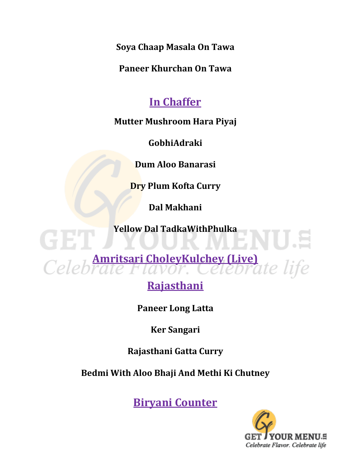**Soya Chaap Masala On Tawa**

**Paneer Khurchan On Tawa**

## **In Chaffer**

## **Mutter Mushroom Hara Piyaj**

**GobhiAdraki**

**Dum Aloo Banarasi**

**Dry Plum Kofta Curry**

**Dal Makhani**

**Yellow Dal TadkaWithPhulka**

Celebraie Flavor. Celebrate life

CIE

## **Rajasthani**

**Paneer Long Latta**

**Ker Sangari**

## **Rajasthani Gatta Curry**

## **Bedmi With Aloo Bhaji And Methi Ki Chutney**

**Biryani Counter**

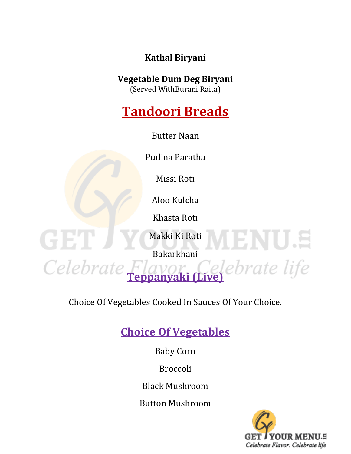**Kathal Biryani**

## **Vegetable Dum Deg Biryani**

(Served WithBurani Raita)

# **Tandoori Breads**

Butter Naan

Pudina Paratha

Missi Roti

Aloo Kulcha

Khasta Roti

Makki Ki Roti

GET

Celebrate

Bakarkhani

**Teppanyaki (Live)**

Choice Of Vegetables Cooked In Sauces Of Your Choice.

## **Choice Of Vegetables**

Baby Corn

Broccoli

Black Mushroom

Button Mushroom



MENO S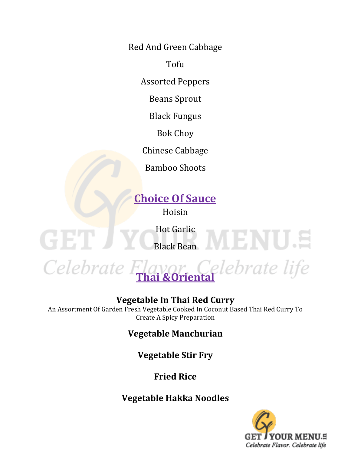Red And Green Cabbage

Tofu

Assorted Peppers

Beans Sprout

Black Fungus

Bok Choy

Chinese Cabbage

Bamboo Shoots

## **Choice Of Sauce**

Hoisin

Hot Garlic

Black Bean MIENUS

GET



## **Vegetable In Thai Red Curry**

An Assortment Of Garden Fresh Vegetable Cooked In Coconut Based Thai Red Curry To Create A Spicy Preparation

**Vegetable Manchurian**

**Vegetable Stir Fry**

**Fried Rice**

## **Vegetable Hakka Noodles**

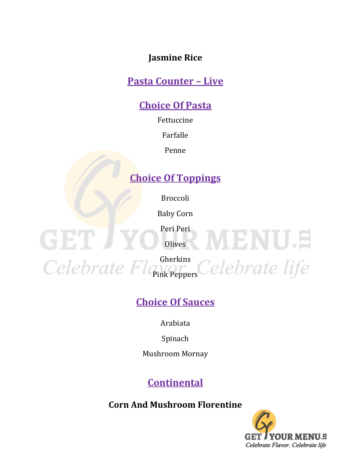### **Jasmine Rice**

## **Pasta Counter – Live**

## **Choice Of Pasta**

Fettuccine

Farfalle

Penne

## **Choice Of Toppings**

Broccoli

Baby Corn

Peri Peri

**Olives** 

GET J

Gherkins

Pink Peppers

## **Choice Of Sauces**

Arabiata

Spinach

Mushroom Mornay

## **Continental**

**Corn And Mushroom Florentine**



**WENUS**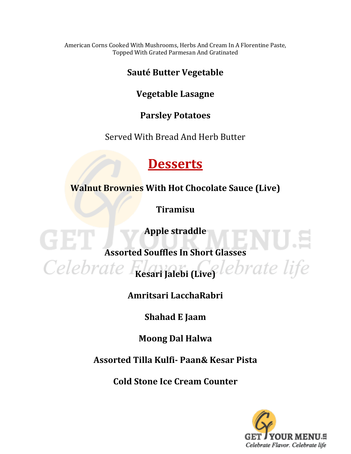American Corns Cooked With Mushrooms, Herbs And Cream In A Florentine Paste, Topped With Grated Parmesan And Gratinated

#### **Sauté Butter Vegetable**

## **Vegetable Lasagne**

### **Parsley Potatoes**

Served With Bread And Herb Butter

## **Desserts**

**Walnut Brownies With Hot Chocolate Sauce (Live)**

**Tiramisu**

**Apple straddle**

**Assorted Souffles In Short Glasses**

G BILI

Celebrate Flawar (Live<sup>Clebrate life</sup>

**Amritsari LacchaRabri**

**Shahad E Jaam**

**Moong Dal Halwa**

**Assorted Tilla Kulfi- Paan& Kesar Pista**

**Cold Stone Ice Cream Counter**